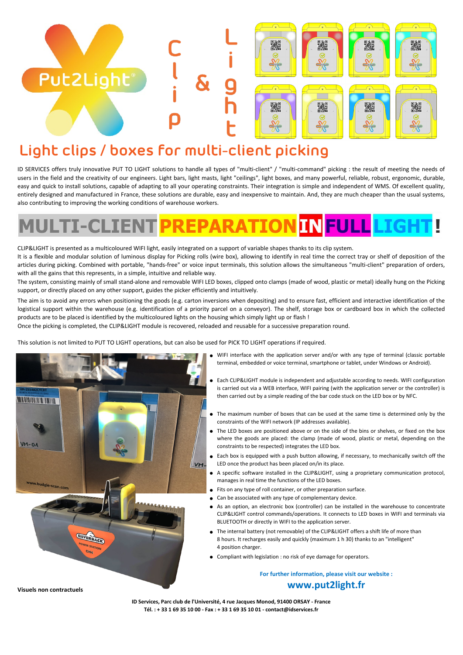## **Light clips / boxes for multi-client picking**

Put2Light®

ID SERVICES offers truly innovative PUT TO LIGHT solutions to handle all types of "multi-client" / "multi-command" picking : the result of meeting the needs of users in the field and the creativity of our engineers. Light bars, light masts, light "ceilings", light boxes, and many powerful, reliable, robust, ergonomic, durable, easy and quick to install solutions, capable of adapting to all your operating constraints. Their integration is simple and independent of WMS. Of excellent quality, entirely designed and manufactured in France, these solutions are durable, easy and inexpensive to maintain. And, they are much cheaper than the usual systems, also contributing to improving the working conditions of warehouse workers.

鬣

**A** 

驧

霧

霧

**A** 

## **FULL TI-CLIEN**

CLIP&LIGHT is presented as a multicoloured WIFI light, easily integrated on a support of variable shapes thanks to its clip system. It is a flexible and modular solution of luminous display for Picking rolls (wire box), allowing to identify in real time the correct tray or shelf of deposition of the articles during picking. Combined with portable, "hands-free" or voice input terminals, this solution allows the simultaneous "multi-client" preparation of orders, with all the gains that this represents, in a simple, intuitive and reliable way.

The system, consisting mainly of small stand-alone and removable WIFI LED boxes, clipped onto clamps (made of wood, plastic or metal) ideally hung on the Picking support, or directly placed on any other support, guides the picker efficiently and intuitively.

The aim is to avoid any errors when positioning the goods (e.g. carton inversions when depositing) and to ensure fast, efficient and interactive identification of the logistical support within the warehouse (e.g. identification of a priority parcel on a conveyor). The shelf, storage box or cardboard box in which the collected products are to be placed is identified by the multicoloured lights on the housing which simply light up or flash !

Once the picking is completed, the CLIP&LIGHT module is recovered, reloaded and reusable for a successive preparation round.

This solution is not limited to PUT TO LIGHT operations, but can also be used for PICK TO LIGHT operations if required.



- WIFI interface with the application server and/or with any type of terminal (classic portable terminal, embedded or voice terminal, smartphone or tablet, under Windows or Android).
- Each CLIP&LIGHT module is independent and adjustable according to needs. WIFI configuration is carried out via a WEB interface, WIFI pairing (with the application server or the controller) is then carried out by a simple reading of the bar code stuck on the LED box or by NFC.
- The maximum number of boxes that can be used at the same time is determined only by the constraints of the WIFI network (IP addresses available).
- The LED boxes are positioned above or on the side of the bins or shelves, or fixed on the box where the goods are placed: the clamp (made of wood, plastic or metal, depending on the constraints to be respected) integrates the LED box.
- Each box is equipped with a push button allowing, if necessary, to mechanically switch off the LED once the product has been placed on/in its place.
- A specific software installed in the CLIP&LIGHT, using a proprietary communication protocol, manages in real time the functions of the LED boxes.
- Fits on any type of roll container, or other preparation surface.
- Can be associated with any type of complementary device.
- As an option, an electronic box (controller) can be installed in the warehouse to concentrate CLIP&LIGHT control commands/operations. It connects to LED boxes in WIFI and terminals via BLUETOOTH or directly in WIFI to the application server.
- The internal battery (not removable) of the CLIP&LIGHT offers a shift life of more than 8 hours. It recharges easily and quickly (maximum 1 h 30) thanks to an "intelligent" 4 position charger.
- Compliant with legislation : no risk of eye damage for operators.

**For further information, please visit our website : www.put2light.fr**

**Visuels non contractuels**

**ID Services, Parc club de l'Université, 4 rue Jacques Monod, 91400 ORSAY - France Tél. : + 33 1 69 35 10 00 - Fax : + 33 1 69 35 10 01 - contact@idservices.fr**

●